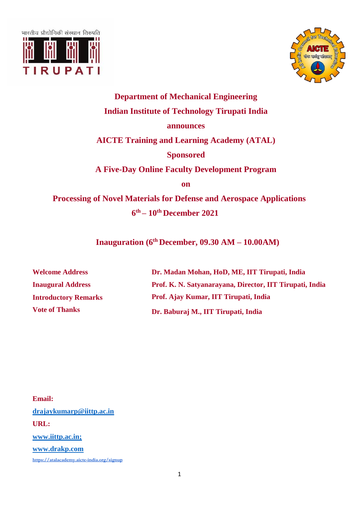



## **Department of Mechanical Engineering Indian Institute of Technology Tirupati India announces AICTE Training and Learning Academy (ATAL) Sponsored A Five-Day Online Faculty Development Program on Processing of Novel Materials for Defense and Aerospace Applications 6 th – 10 th December 2021**

**Inauguration (6 th December, 09.30 AM – 10.00AM)**

| <b>Welcome Address</b>      | Dr. Madan Mohan, HoD, ME, IIT Tirupati, India            |  |
|-----------------------------|----------------------------------------------------------|--|
| <b>Inaugural Address</b>    | Prof. K. N. Satyanarayana, Director, IIT Tirupati, India |  |
| <b>Introductory Remarks</b> | Prof. Ajay Kumar, IIT Tirupati, India                    |  |
| <b>Vote of Thanks</b>       | Dr. Baburaj M., IIT Tirupati, India                      |  |

**Email: [drajaykumarp@iittp.ac.in](mailto:drajaykumarp@iittp.ac.in) URL: www.iittp.ac.in; www.drakp.com <https://atalacademy.aicte-india.org/signup>**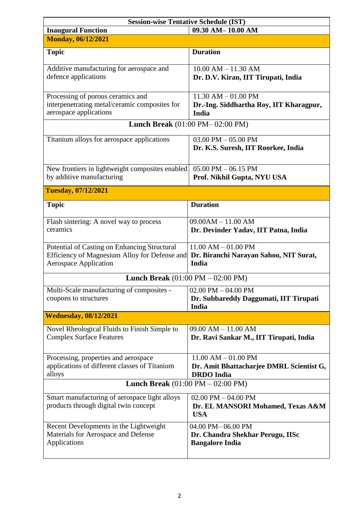| <b>Session-wise Tentative Schedule (IST)</b>                                                                                  |                                                                                          |  |  |
|-------------------------------------------------------------------------------------------------------------------------------|------------------------------------------------------------------------------------------|--|--|
| <b>Inaugural Function</b>                                                                                                     | 09.30 AM-10.00 AM                                                                        |  |  |
| <b>Monday, 06/12/2021</b>                                                                                                     |                                                                                          |  |  |
| <b>Topic</b>                                                                                                                  | <b>Duration</b>                                                                          |  |  |
| Additive manufacturing for aerospace and<br>defence applications                                                              | $10.00$ AM $- 11.30$ AM<br>Dr. D.V. Kiran, IIT Tirupati, India                           |  |  |
| Processing of porous ceramics and<br>interpenetrating metal/ceramic composites for<br>aerospace applications                  | $11.30$ AM $- 01.00$ PM<br>Dr.-Ing. Siddhartha Roy, IIT Kharagpur,<br>India              |  |  |
| <b>Lunch Break</b> (01:00 PM-02:00 PM)                                                                                        |                                                                                          |  |  |
| Titanium alloys for aerospace applications                                                                                    | 03.00 PM $-$ 05.00 PM<br>Dr. K.S. Suresh, IIT Roorkee, India                             |  |  |
| New frontiers in lightweight composites enabled<br>by additive manufacturing                                                  | $05.00$ PM $- 06.15$ PM<br>Prof. Nikhil Gupta, NYU USA                                   |  |  |
| <b>Tuesday, 07/12/2021</b>                                                                                                    |                                                                                          |  |  |
| <b>Topic</b>                                                                                                                  | <b>Duration</b>                                                                          |  |  |
| Flash sintering: A novel way to process<br>ceramics                                                                           | $09.00AM - 11.00 AM$<br>Dr. Devinder Yadav, IIT Patna, India                             |  |  |
| Potential of Casting on Enhancing Structural<br>Efficiency of Magnesium Alloy for Defense and<br><b>Aerospace Application</b> | $11.00$ AM $- 01.00$ PM<br>Dr. Biranchi Narayan Sahoo, NIT Surat,<br>India               |  |  |
| <b>Lunch Break</b> $(01:00 \text{ PM} - 02:00 \text{ PM})$                                                                    |                                                                                          |  |  |
| Multi-Scale manufacturing of composites -<br>coupons to structures                                                            | 02.00 PM $-$ 04.00 PM<br>Dr. Subbareddy Daggumati, IIT Tirupati<br>India                 |  |  |
| <b>Wednesday, 08/12/2021</b>                                                                                                  |                                                                                          |  |  |
| Novel Rheological Fluids to Finish Simple to<br><b>Complex Surface Features</b>                                               | $09.00$ AM $- 11.00$ AM<br>Dr. Ravi Sankar M., IIT Tirupati, India                       |  |  |
| Processing, properties and aerospace<br>applications of different classes of Titanium<br>alloys                               | $11.00$ AM $- 01.00$ PM<br>Dr. Amit Bhattacharjee DMRL Scientist G,<br><b>DRDO</b> India |  |  |
| <b>Lunch Break</b> $(01:00 \text{ PM} - 02:00 \text{ PM})$                                                                    |                                                                                          |  |  |
| Smart manufacturing of aerospace light alloys<br>products through digital twin concept                                        | 02.00 PM $-$ 04.00 PM<br>Dr. EL MANSORI Mohamed, Texas A&M<br><b>USA</b>                 |  |  |
| Recent Developments in the Lightweight<br>Materials for Aerospace and Defense<br>Applications                                 | 04.00 PM-06.00 PM<br>Dr. Chandra Shekhar Perugu, IISc<br><b>Bangalore India</b>          |  |  |